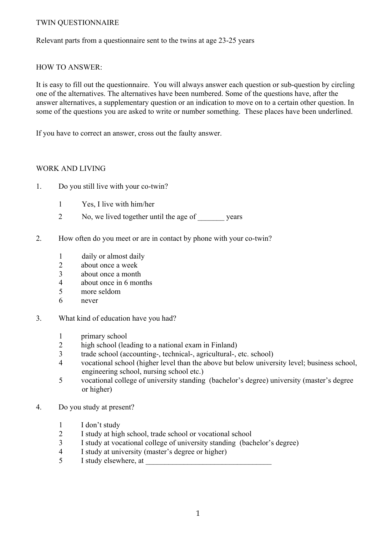### TWIN QUESTIONNAIRE

Relevant parts from a questionnaire sent to the twins at age 23-25 years

### HOW TO ANSWER:

It is easy to fill out the questionnaire. You will always answer each question or sub-question by circling one of the alternatives. The alternatives have been numbered. Some of the questions have, after the answer alternatives, a supplementary question or an indication to move on to a certain other question. In some of the questions you are asked to write or number something. These places have been underlined.

If you have to correct an answer, cross out the faulty answer.

### WORK AND LIVING

- 1. Do you still live with your co-twin?
	- 1 Yes, I live with him/her
	- 2 No, we lived together until the age of vears
- 2. How often do you meet or are in contact by phone with your co-twin?
	- 1 daily or almost daily
	- 2 about once a week
	- 3 about once a month
	- 4 about once in 6 months
	- 5 more seldom
	- 6 never
- 3. What kind of education have you had?
	- 1 primary school
	- 2 high school (leading to a national exam in Finland)
	- 3 trade school (accounting-, technical-, agricultural-, etc. school)
	- 4 vocational school (higher level than the above but below university level; business school, engineering school, nursing school etc.)
	- 5 vocational college of university standing (bachelor's degree) university (master's degree or higher)
- 4. Do you study at present?
	- 1 I don't study
	- 2 I study at high school, trade school or vocational school
	- 3 I study at vocational college of university standing (bachelor's degree)
	- 4 I study at university (master's degree or higher)
	- 5 I study elsewhere, at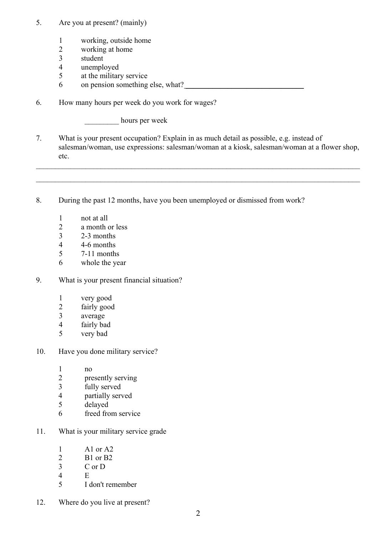- 5. Are you at present? (mainly)
	- 1 working, outside home
	- 2 working at home
	- 3 student
	- 4 unemployed
	- 5 at the military service
	- $6$  on pension something else, what?
- 6. How many hours per week do you work for wages?

\_\_\_\_\_\_\_\_\_ hours per week

7. What is your present occupation? Explain in as much detail as possible, e.g. instead of salesman/woman, use expressions: salesman/woman at a kiosk, salesman/woman at a flower shop, etc.

 $\mathcal{L}_\mathcal{L} = \{ \mathcal{L}_\mathcal{L} = \{ \mathcal{L}_\mathcal{L} = \{ \mathcal{L}_\mathcal{L} = \{ \mathcal{L}_\mathcal{L} = \{ \mathcal{L}_\mathcal{L} = \{ \mathcal{L}_\mathcal{L} = \{ \mathcal{L}_\mathcal{L} = \{ \mathcal{L}_\mathcal{L} = \{ \mathcal{L}_\mathcal{L} = \{ \mathcal{L}_\mathcal{L} = \{ \mathcal{L}_\mathcal{L} = \{ \mathcal{L}_\mathcal{L} = \{ \mathcal{L}_\mathcal{L} = \{ \mathcal{L}_\mathcal{$ 

 $\mathcal{L}_\mathcal{L} = \{ \mathcal{L}_\mathcal{L} = \{ \mathcal{L}_\mathcal{L} = \{ \mathcal{L}_\mathcal{L} = \{ \mathcal{L}_\mathcal{L} = \{ \mathcal{L}_\mathcal{L} = \{ \mathcal{L}_\mathcal{L} = \{ \mathcal{L}_\mathcal{L} = \{ \mathcal{L}_\mathcal{L} = \{ \mathcal{L}_\mathcal{L} = \{ \mathcal{L}_\mathcal{L} = \{ \mathcal{L}_\mathcal{L} = \{ \mathcal{L}_\mathcal{L} = \{ \mathcal{L}_\mathcal{L} = \{ \mathcal{L}_\mathcal{$ 

- 8. During the past 12 months, have you been unemployed or dismissed from work?
	- 1 not at all
	- 2 a month or less
	- 3 2-3 months
	- 4 4-6 months
	- 5 7-11 months
	- 6 whole the year
- 9. What is your present financial situation?
	- 1 very good<br>2 fairly good
	- fairly good
	- 3 average
	- 4 fairly bad
	- 5 very bad
- 10. Have you done military service?
	- 1 no
	- 2 presently serving
	- 3 fully served
	- 4 partially served
	- 5 delayed
	- 6 freed from service
- 11. What is your military service grade
	- 1 A1 or A2
	- 2 B1 or B2
	- 3 C or D
	- 4 E
	- 5 I don't remember
- 12. Where do you live at present?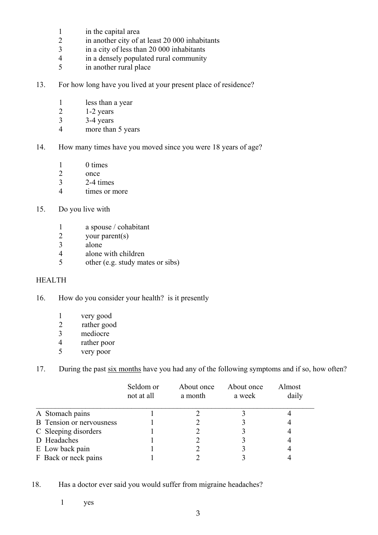- 1 in the capital area
- 2 in another city of at least 20 000 inhabitants
- 3 in a city of less than 20 000 inhabitants
- 4 in a densely populated rural community
- 5 in another rural place
- 13. For how long have you lived at your present place of residence?
	- 1 less than a year
	- 2  $1-2$  years
	- 3 3-4 years
	- 4 more than 5 years
- 14. How many times have you moved since you were 18 years of age?
	- 1 0 times
	- 2 once
	- 3 2-4 times
	- 4 times or more
- 15. Do you live with
	- 1 a spouse / cohabitant 2 vour parent(s)
	- your parent(s)
	- 3 alone
	- 4 alone with children
	- 5 other (e.g. study mates or sibs)

### HEALTH

- 16. How do you consider your health? is it presently
	- 1 very good<br>2 rather good
	- rather good
	- 3 mediocre
	- 4 rather poor
	- 5 very poor
- 17. During the past six months have you had any of the following symptoms and if so, how often?

|                                 | Seldom or<br>not at all | About once<br>a month | About once<br>a week | Almost<br>daily |
|---------------------------------|-------------------------|-----------------------|----------------------|-----------------|
| A Stomach pains                 |                         |                       |                      |                 |
| <b>B</b> Tension or nervousness |                         |                       |                      |                 |
| C Sleeping disorders            |                         |                       |                      |                 |
| D Headaches                     |                         |                       |                      |                 |
| E Low back pain                 |                         |                       |                      |                 |
| F Back or neck pains            |                         |                       |                      |                 |

18. Has a doctor ever said you would suffer from migraine headaches?

1 yes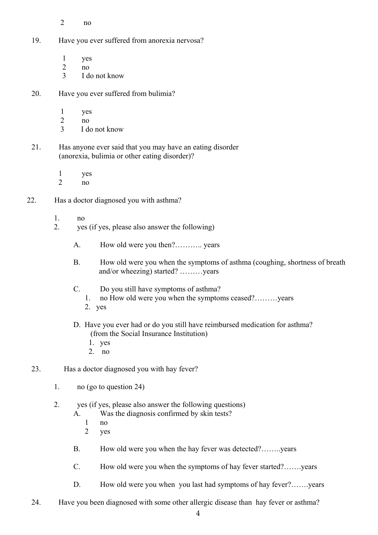- 2 no
- 19. Have you ever suffered from anorexia nervosa?
	- 1 yes
	- 2 no
	- 3 I do not know
- 20. Have you ever suffered from bulimia?
	- 1 yes
	- 2 no
	- 3 I do not know
- 21. Has anyone ever said that you may have an eating disorder (anorexia, bulimia or other eating disorder)?
	- 1 yes
	- $2 \qquad \qquad$ no
- 22. Has a doctor diagnosed you with asthma?
	- 1. no
	- 2. yes (if yes, please also answer the following)
		- A. How old were you then?……….. years
		- B. How old were you when the symptoms of asthma (coughing, shortness of breath and/or wheezing) started? ………years
		- C. Do you still have symptoms of asthma?
			- 1. no How old were you when the symptoms ceased?………years
			- 2. yes
		- D. Have you ever had or do you still have reimbursed medication for asthma? (from the Social Insurance Institution)
			- 1. yes
			- 2. no
	- 23. Has a doctor diagnosed you with hay fever?
		- 1. no (go to question 24)
		- 2. yes (if yes, please also answer the following questions)
			- A. Was the diagnosis confirmed by skin tests?
				- 1 no
				- 2 yes
			- B. How old were you when the hay fever was detected?……..years
			- C. How old were you when the symptoms of hay fever started?…….years
			- D. How old were you when you last had symptoms of hay fever?…….years
	- 24. Have you been diagnosed with some other allergic disease than hay fever or asthma?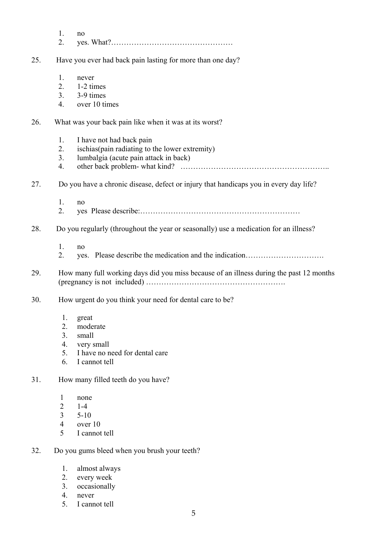|     | 1.<br>2.                                                     | no                                                                                                                   |
|-----|--------------------------------------------------------------|----------------------------------------------------------------------------------------------------------------------|
| 25. |                                                              | Have you ever had back pain lasting for more than one day?                                                           |
|     | 1.<br>2.<br>3 <sub>1</sub><br>4.                             | never<br>1-2 times<br>3-9 times<br>over 10 times                                                                     |
| 26. |                                                              | What was your back pain like when it was at its worst?                                                               |
|     | 1.<br>2.<br>3.<br>4.                                         | I have not had back pain<br>ischias (pain radiating to the lower extremity)<br>lumbalgia (acute pain attack in back) |
| 27. |                                                              | Do you have a chronic disease, defect or injury that handicaps you in every day life?                                |
|     | 1.<br>2.                                                     | no                                                                                                                   |
| 28. |                                                              | Do you regularly (throughout the year or seasonally) use a medication for an illness?                                |
|     | 1.<br>2.                                                     | no<br>yes. Please describe the medication and the indication                                                         |
| 29. |                                                              | How many full working days did you miss because of an illness during the past 12 months                              |
| 30. |                                                              | How urgent do you think your need for dental care to be?                                                             |
|     | 1.<br>2.<br>3 <sub>1</sub><br>4.<br>5.<br>6.                 | great<br>moderate<br>small<br>very small<br>I have no need for dental care<br>I cannot tell                          |
| 31. |                                                              | How many filled teeth do you have?                                                                                   |
|     | 1<br>$\overline{2}$<br>$\overline{3}$<br>$\overline{4}$<br>5 | none<br>$1-4$<br>$5 - 10$<br>over 10<br>I cannot tell                                                                |
| 32. |                                                              | Do you gums bleed when you brush your teeth?                                                                         |
|     | 1.                                                           | almost always                                                                                                        |

- 
- 2. every week 3. occasionally
- 4. never
- 5. I cannot tell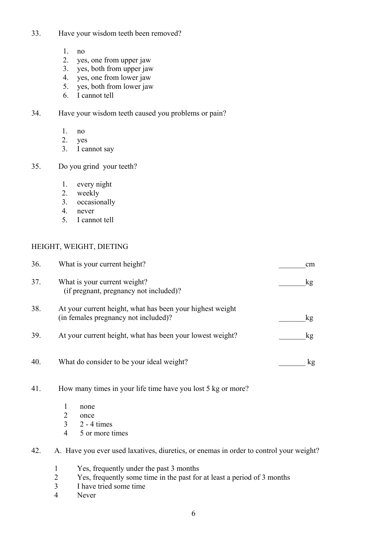- 33. Have your wisdom teeth been removed?
	- 1. no
	- 2. yes, one from upper jaw
	- 3. yes, both from upper jaw
	- 4. yes, one from lower jaw
	- 5. yes, both from lower jaw
	- 6. I cannot tell

34. Have your wisdom teeth caused you problems or pain?

- 1. no
- 2. yes
- 3. I cannot say
- 35. Do you grind your teeth?
	- 1. every night
	- 2. weekly
	- 3. occasionally
	- 4. never
	- 5. I cannot tell

### HEIGHT, WEIGHT, DIETING

| 36. | What is your current height?                                                                      | <sub>cm</sub> |
|-----|---------------------------------------------------------------------------------------------------|---------------|
| 37. | What is your current weight?<br>(if pregnant, pregnancy not included)?                            | kg            |
| 38. | At your current height, what has been your highest weight<br>(in females pregnancy not included)? | kg            |
| 39. | At your current height, what has been your lowest weight?                                         | $k\mathbf{g}$ |
| 40. | What do consider to be your ideal weight?                                                         | kg            |

- 41. How many times in your life time have you lost 5 kg or more?
	- 1 none
	- 2 once
	- 3 2 4 times
	- 4 5 or more times

### 42. A. Have you ever used laxatives, diuretics, or enemas in order to control your weight?

- 1 Yes, frequently under the past 3 months
- 2 Yes, frequently some time in the past for at least a period of 3 months
- 3 I have tried some time
- 4 Never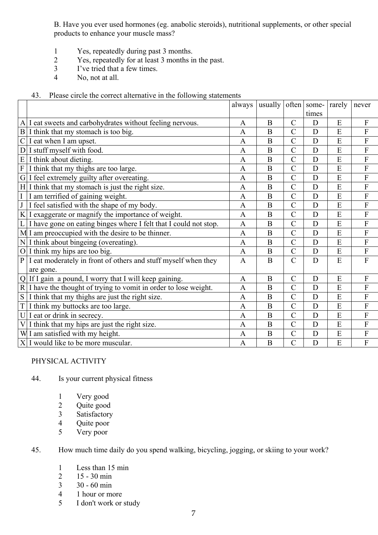B. Have you ever used hormones (eg. anabolic steroids), nutritional supplements, or other special products to enhance your muscle mass?

- 1 Yes, repeatedly during past 3 months.
- 2 Yes, repeatedly for at least 3 months in the past.
- 3 I've tried that a few times.
- 4 No, not at all.
- 43. Please circle the correct alternative in the following statements

|               |                                                                           | always         | usually $\vert$ often $\vert$ some- |                       |             | rarely         | never                     |
|---------------|---------------------------------------------------------------------------|----------------|-------------------------------------|-----------------------|-------------|----------------|---------------------------|
|               |                                                                           |                |                                     |                       | times       |                |                           |
|               | A I eat sweets and carbohydrates without feeling nervous.                 | $\mathbf{A}$   | B                                   | $\mathcal{C}$         | D           | E              | F                         |
|               | $B I$ think that my stomach is too big.                                   | $\mathbf{A}$   | B                                   | $\mathcal{C}$         | D           | E              | $\mathbf F$               |
| $\mathcal{C}$ | I eat when I am upset.                                                    | $\mathbf{A}$   | B                                   | $\overline{C}$        | D           | E              | $\mathbf F$               |
|               | $D I$ stuff myself with food.                                             | $\mathbf{A}$   | B                                   | $\overline{C}$        | D           | E              | $\overline{F}$            |
|               | $E$ I think about dieting.                                                | $\mathbf{A}$   | B                                   | $\overline{C}$        | D           | E              | $\overline{F}$            |
|               | $F I$ think that my thighs are too large.                                 | $\mathbf{A}$   | $\overline{B}$                      | $\overline{C}$        | D           | E              | $\boldsymbol{\mathrm{F}}$ |
|               | G I feel extremely guilty after overeating.                               | $\mathbf{A}$   | B                                   | $\overline{C}$        | D           | $\overline{E}$ | $\boldsymbol{\mathrm{F}}$ |
|               | $H I$ think that my stomach is just the right size.                       | $\mathbf{A}$   | B                                   | $\overline{C}$        | D           | E              | ${\bf F}$                 |
|               | $\overline{1}$ $\overline{1}$ am terrified of gaining weight.             | A              | B                                   | $\overline{C}$        | D           | E              | $\boldsymbol{\mathrm{F}}$ |
| J             | I feel satisfied with the shape of my body.                               | $\overline{A}$ | $\bf{B}$                            | $\overline{C}$        | D           | E              | $\boldsymbol{\mathrm{F}}$ |
|               | $K I$ exaggerate or magnify the importance of weight.                     | $\mathbf{A}$   | B                                   | $\overline{C}$        | D           | E              | $\mathbf F$               |
|               | $L \mid I$ have gone on eating binges where I felt that I could not stop. | $\mathbf{A}$   | B                                   | $\overline{C}$        | D           | E              | $\overline{F}$            |
|               | M I am preoccupied with the desire to be thinner.                         | $\mathbf{A}$   | B                                   | $\overline{C}$        | D           | E              | $\mathbf{F}$              |
|               | N I think about bingeing (overeating).                                    | $\mathbf{A}$   | $\overline{B}$                      | $\overline{C}$        | D           | E              | ${\bf F}$                 |
|               | O $\vert$ I think my hips are too big.                                    | $\mathbf{A}$   | $\bf{B}$                            | $\mathcal{C}$         | D           | E              | ${\bf F}$                 |
| $\mathbf{P}$  | I eat moderately in front of others and stuff myself when they            | $\mathbf{A}$   | $\overline{B}$                      | $\overline{C}$        | D           | $\overline{E}$ | $\overline{F}$            |
|               | are gone.                                                                 |                |                                     |                       |             |                |                           |
|               | Q If I gain a pound, I worry that I will keep gaining.                    | $\mathbf{A}$   | $\bf{B}$                            | $\mathcal{C}$         | D           | E              | $\mathbf F$               |
|               | $R/I$ have the thought of trying to vomit in order to lose weight.        | $\mathbf{A}$   | B                                   | $\overline{C}$        | D           | E              | F                         |
|               | $S \mid I$ think that my thighs are just the right size.                  | $\mathbf{A}$   | $\bf{B}$                            | $\overline{C}$        | D           | E              | $\overline{F}$            |
|               | T I think my buttocks are too large.                                      | A              | B                                   | $\overline{C}$        | D           | E              | $\mathbf{F}$              |
|               | $U I$ eat or drink in secrecy.                                            | $\mathbf{A}$   | $\mathbf B$                         | $\overline{\text{C}}$ | $\mathbf D$ | E              | $\boldsymbol{\mathrm{F}}$ |
|               | $V I$ think that my hips are just the right size.                         | $\mathbf{A}$   | $\bf{B}$                            | $\overline{C}$        | D           | E              | $\boldsymbol{\mathrm{F}}$ |
|               | W I am satisfied with my height.                                          | $\mathbf{A}$   | $\overline{B}$                      | $\overline{C}$        | D           | E              | $\boldsymbol{\mathrm{F}}$ |
|               | $X I$ would like to be more muscular.                                     | A              | $\bf{B}$                            | $\overline{C}$        | D           | E              | $\overline{F}$            |

### PHYSICAL ACTIVITY

- 44. Is your current physical fitness
	- 1 Very good
	- 2 Quite good<br>3 Satisfactory
	- **Satisfactory**
	- 4 Quite poor<br>5 Very poor
	- Very poor

45. How much time daily do you spend walking, bicycling, jogging, or skiing to your work?

- 1 Less than 15 min
- 2 15 30 min<br>3 30 60 min
- 30 60 min
- 4 1 hour or more
- 5 I don't work or study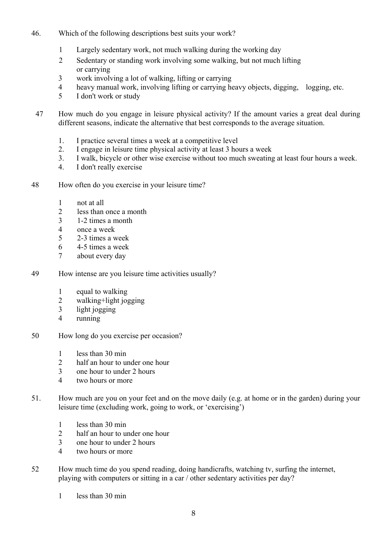- 46. Which of the following descriptions best suits your work?
	- 1 Largely sedentary work, not much walking during the working day
	- 2 Sedentary or standing work involving some walking, but not much lifting or carrying
	- 3 work involving a lot of walking, lifting or carrying
	- 4 heavy manual work, involving lifting or carrying heavy objects, digging, logging, etc.
	- 5 I don't work or study
- 47 How much do you engage in leisure physical activity? If the amount varies a great deal during different seasons, indicate the alternative that best corresponds to the average situation.
	- 1. I practice several times a week at a competitive level
	- 2. I engage in leisure time physical activity at least 3 hours a week
	- 3. I walk, bicycle or other wise exercise without too much sweating at least four hours a week.
	- 4. I don't really exercise
- 48 How often do you exercise in your leisure time?
	- 1 not at all
	- 2 less than once a month
	- 3 1-2 times a month
	- 4 once a week
	- 5 2-3 times a week
	- 6 4-5 times a week
	- 7 about every day
- 49 How intense are you leisure time activities usually?
	- 1 equal to walking
	- 2 walking+light jogging
	- 3 light jogging
	- 4 running
- 50 How long do you exercise per occasion?
	- 1 less than 30 min
	- 2 half an hour to under one hour
	- 3 one hour to under 2 hours
	- 4 two hours or more
- 51. How much are you on your feet and on the move daily (e.g. at home or in the garden) during your leisure time (excluding work, going to work, or 'exercising')
	- 1 less than 30 min
	- 2 half an hour to under one hour
	- 3 one hour to under 2 hours
	- 4 two hours or more
- 52 How much time do you spend reading, doing handicrafts, watching tv, surfing the internet, playing with computers or sitting in a car / other sedentary activities per day?
	- 1 less than 30 min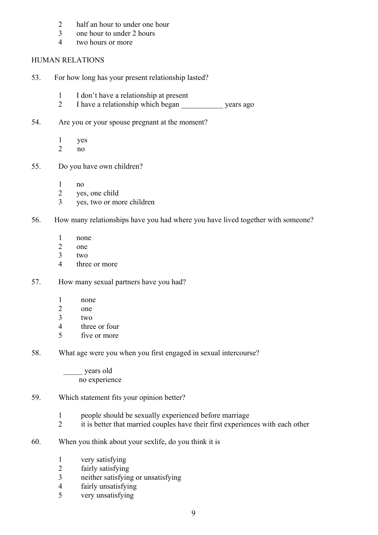- 2 half an hour to under one hour
- 3 one hour to under 2 hours
- 4 two hours or more

### HUMAN RELATIONS

- 53. For how long has your present relationship lasted?
	- 1 I don't have a relationship at present
	- 2 I have a relationship which began vears ago
- 54. Are you or your spouse pregnant at the moment?
	- 1 yes
	- 2 no
- 55. Do you have own children?
	- 1 no
	- 2 yes, one child
	- 3 yes, two or more children
- 56. How many relationships have you had where you have lived together with someone?
	- 1 none
	- 2 one
	- $3$  two
	- 4 three or more
- 57. How many sexual partners have you had?
	- 1 none
	- 2 one
	- $3$  two
	- 4 three or four
	- 5 five or more
- 58. What age were you when you first engaged in sexual intercourse?

 \_\_\_\_\_ years old no experience

- 59. Which statement fits your opinion better?
	- 1 people should be sexually experienced before marriage
	- 2 it is better that married couples have their first experiences with each other
- 60. When you think about your sexlife, do you think it is
	- 1 very satisfying
	- 2 fairly satisfying
	- 3 neither satisfying or unsatisfying
	- 4 fairly unsatisfying
	- 5 very unsatisfying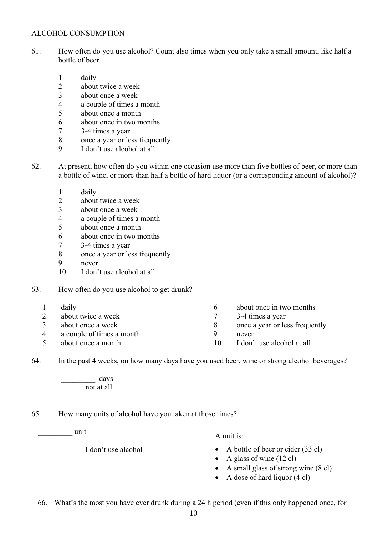### ALCOHOL CONSUMPTION

- 61. How often do you use alcohol? Count also times when you only take a small amount, like half a bottle of beer.
	- 1 daily
	- 2 about twice a week
	- 3 about once a week
	- 4 a couple of times a month
	- 5 about once a month
	- 6 about once in two months
	- 7 3-4 times a year
	- 8 once a year or less frequently
	- 9 I don't use alcohol at all
- 62. At present, how often do you within one occasion use more than five bottles of beer, or more than a bottle of wine, or more than half a bottle of hard liquor (or a corresponding amount of alcohol)?
	- 1 daily
	- 2 about twice a week
	- 3 about once a week
	- 4 a couple of times a month
	- 5 about once a month
	- 6 about once in two months
	- 7 3-4 times a year
	- 8 once a year or less frequently
	- 9 never
	- 10 I don't use alcohol at all
- 63. How often do you use alcohol to get drunk?
	- 1 daily
	- 2 about twice a week
	- 3 about once a week
	- 4 a couple of times a month
	- 5 about once a month
- 6 about once in two months
- 7 3-4 times a year
- 8 once a year or less frequently
- 9 never
- 10 I don't use alcohol at all

64. In the past 4 weeks, on how many days have you used beer, wine or strong alcohol beverages?

\_\_\_\_\_\_\_\_\_ days not at all

65. How many units of alcohol have you taken at those times?

 $\Box$  unit  $\Box$ 

I don't use alcohol

- 
- A bottle of beer or cider (33 cl)
- A glass of wine  $(12 \text{ cl})$
- A small glass of strong wine (8 cl)
- A dose of hard liquor (4 cl)

66. What's the most you have ever drunk during a 24 h period (even if this only happened once, for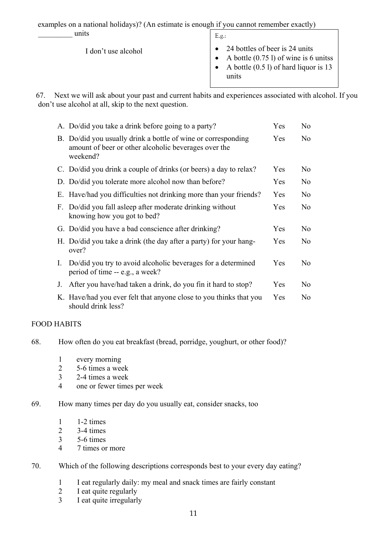examples on a national holidays)? (An estimate is enough if you cannot remember exactly)

| units               | E.g.:                                                                                                                                |
|---------------------|--------------------------------------------------------------------------------------------------------------------------------------|
| I don't use alcohol | 24 bottles of beer is 24 units<br>A bottle $(0.75 \text{ l})$ of wine is 6 unitss<br>A bottle $(0.51)$ of hard liquor is 13<br>units |

67. Next we will ask about your past and current habits and experiences associated with alcohol. If you don't use alcohol at all, skip to the next question.

|    | A. Do/did you take a drink before going to a party?                                                                               | Yes        | N <sub>0</sub> |
|----|-----------------------------------------------------------------------------------------------------------------------------------|------------|----------------|
|    | B. Do/did you usually drink a bottle of wine or corresponding<br>amount of beer or other alcoholic beverages over the<br>weekend? | Yes        | N <sub>0</sub> |
|    | C. Do/did you drink a couple of drinks (or beers) a day to relax?                                                                 | Yes        | N <sub>0</sub> |
|    | D. Do/did you tolerate more alcohol now than before?                                                                              | Yes        | No             |
|    | E. Have/had you difficulties not drinking more than your friends?                                                                 | Yes        | N <sub>0</sub> |
| F. | Do/did you fall as leep after moderate drinking without<br>knowing how you got to bed?                                            | Yes        | No             |
|    | G. Do/did you have a bad conscience after drinking?                                                                               | Yes        | N <sub>0</sub> |
|    | H. Do/did you take a drink (the day after a party) for your hang-<br>over?                                                        | <b>Yes</b> | N <sub>0</sub> |
| L. | Do/did you try to avoid alcoholic beverages for a determined<br>period of time -- e.g., a week?                                   | Yes        | N <sub>0</sub> |
| J. | After you have/had taken a drink, do you fin it hard to stop?                                                                     | Yes        | N <sub>0</sub> |
|    | K. Have/had you ever felt that anyone close to you thinks that you<br>should drink less?                                          | Yes        | N <sub>0</sub> |

### FOOD HABITS

68. How often do you eat breakfast (bread, porridge, youghurt, or other food)?

- 1 every morning
- 2 5-6 times a week
- 3 2-4 times a week
- 4 one or fewer times per week

### 69. How many times per day do you usually eat, consider snacks, too

- 1 1-2 times
- 2 3-4 times
- 3 5-6 times
- 4 7 times or more

### 70. Which of the following descriptions corresponds best to your every day eating?

- 1 I eat regularly daily: my meal and snack times are fairly constant
- 2 I eat quite regularly
- 3 I eat quite irregularly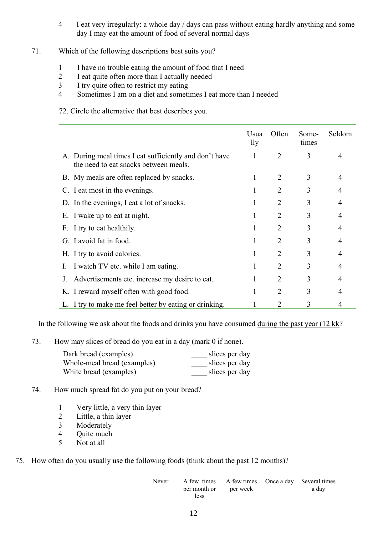- 4 I eat very irregularly: a whole day / days can pass without eating hardly anything and some day I may eat the amount of food of several normal days
- 71. Which of the following descriptions best suits you?
	- 1 I have no trouble eating the amount of food that I need
	- 2 I eat quite often more than I actually needed
	- 3 I try quite often to restrict my eating
	- 4 Sometimes I am on a diet and sometimes I eat more than I needed
	- 72. Circle the alternative that best describes you.

|                                                                                                 | Usua<br>1ly | Often          | Some-<br>times | Seldom         |
|-------------------------------------------------------------------------------------------------|-------------|----------------|----------------|----------------|
| A. During meal times I eat sufficiently and don't have<br>the need to eat snacks between meals. | 1           | $\overline{2}$ | 3              | $\overline{4}$ |
| B. My meals are often replaced by snacks.                                                       |             | $\overline{2}$ | 3              | $\overline{4}$ |
| C. I eat most in the evenings.                                                                  |             | $\overline{2}$ | 3              | $\overline{4}$ |
| D. In the evenings, I eat a lot of snacks.                                                      | 1           | 2              | 3              | 4              |
| E. I wake up to eat at night.                                                                   |             | 2              | 3              | $\overline{4}$ |
| F. I try to eat healthily.                                                                      | -1          | 2              | 3              | 4              |
| G. I avoid fat in food.                                                                         |             | 2              | 3              | 4              |
| H. I try to avoid calories.                                                                     |             | $\overline{2}$ | 3              | $\overline{4}$ |
| I watch TV etc. while I am eating.                                                              |             | 2              | 3              | 4              |
| Advertisements etc. increase my desire to eat.<br>J.                                            |             | 2              | 3              | $\overline{4}$ |
| K. I reward myself often with good food.                                                        |             | 2              | 3              | 4              |
| L. I try to make me feel better by eating or drinking.                                          |             |                | 3              | 4              |

In the following we ask about the foods and drinks you have consumed  $\frac{during}{dt}$  the past year (12 kk?

73. How may slices of bread do you eat in a day (mark 0 if none).

| Dark bread (examples)       | slices per day |
|-----------------------------|----------------|
| Whole-meal bread (examples) | slices per day |
| White bread (examples)      | slices per day |

- 74. How much spread fat do you put on your bread?
	- 1 Very little, a very thin layer
	- 2 Little, a thin layer
	- 3 Moderately
	- 4 Quite much
	- 5 Not at all
- 75. How often do you usually use the following foods (think about the past 12 months)?

| Never | A few times A few times Once a day Several times |  |       |
|-------|--------------------------------------------------|--|-------|
|       | per month or per week                            |  | a day |
|       | less                                             |  |       |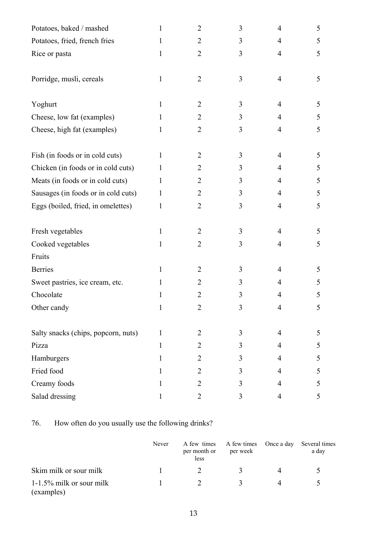| Potatoes, baked / mashed            | 1 | $\overline{2}$ | 3 | $\overline{4}$ | 5 |
|-------------------------------------|---|----------------|---|----------------|---|
| Potatoes, fried, french fries       | 1 | $\overline{2}$ | 3 | $\overline{4}$ | 5 |
| Rice or pasta                       | 1 | $\overline{2}$ | 3 | 4              | 5 |
|                                     |   |                |   |                |   |
| Porridge, musli, cereals            | 1 | $\overline{2}$ | 3 | $\overline{4}$ | 5 |
|                                     |   |                |   |                |   |
| Yoghurt                             | 1 | $\overline{2}$ | 3 | $\overline{4}$ | 5 |
| Cheese, low fat (examples)          |   | $\overline{2}$ | 3 | $\overline{4}$ | 5 |
| Cheese, high fat (examples)         | 1 | $\overline{2}$ | 3 | 4              | 5 |
|                                     |   |                |   |                |   |
| Fish (in foods or in cold cuts)     | 1 | $\overline{2}$ | 3 | $\overline{4}$ | 5 |
| Chicken (in foods or in cold cuts)  | 1 | $\overline{2}$ | 3 | 4              | 5 |
| Meats (in foods or in cold cuts)    | 1 | $\overline{2}$ | 3 | $\overline{4}$ | 5 |
| Sausages (in foods or in cold cuts) | 1 | $\overline{2}$ | 3 | $\overline{4}$ | 5 |
| Eggs (boiled, fried, in omelettes)  | 1 | $\overline{2}$ | 3 | 4              | 5 |
|                                     |   |                |   |                |   |
| Fresh vegetables                    | 1 | $\overline{2}$ | 3 | $\overline{4}$ | 5 |
| Cooked vegetables                   | 1 | $\overline{2}$ | 3 | 4              | 5 |
| Fruits                              |   |                |   |                |   |
| <b>Berries</b>                      | 1 | $\overline{2}$ | 3 | $\overline{4}$ | 5 |
| Sweet pastries, ice cream, etc.     | L | $\overline{2}$ | 3 | 4              | 5 |
| Chocolate                           |   | 2              | 3 | 4              | 5 |
| Other candy                         | 1 | $\overline{2}$ | 3 | 4              | 5 |
|                                     |   |                |   |                |   |
| Salty snacks (chips, popcorn, nuts) | 1 | 2              | 3 | $\overline{4}$ | 5 |
| Pizza                               | 1 | $\overline{2}$ | 3 | $\overline{4}$ | 5 |
| Hamburgers                          | 1 | $\overline{2}$ | 3 | 4              | 5 |
| Fried food                          | 1 | $\overline{2}$ | 3 | $\overline{4}$ | 5 |
| Creamy foods                        | 1 | $\overline{2}$ | 3 | 4              | 5 |
| Salad dressing                      | 1 | $\overline{2}$ | 3 | $\overline{4}$ | 5 |

# 76. How often do you usually use the following drinks?

|                                        | Never | per month or<br>less | A few times A few times Once a day<br>per week | Several times<br>a day |
|----------------------------------------|-------|----------------------|------------------------------------------------|------------------------|
| Skim milk or sour milk                 |       |                      | $\mathbf{R}$                                   |                        |
| 1-1.5% milk or sour milk<br>(examples) |       |                      | $\mathcal{R}$                                  |                        |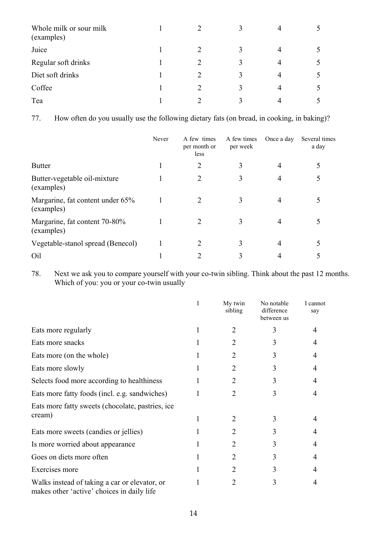| Whole milk or sour milk<br>(examples) |               | 4 |  |
|---------------------------------------|---------------|---|--|
| Juice                                 |               | 4 |  |
| Regular soft drinks                   |               | 4 |  |
| Diet soft drinks                      | $\mathcal{D}$ | 4 |  |
| Coffee                                |               |   |  |
| Tea                                   | $\bigcap$     |   |  |

77. How often do you usually use the following dietary fats (on bread, in cooking, in baking)?

|                                                | Never | A few times<br>per month or<br>less | A few times<br>per week | Once a day | Several times<br>a day |
|------------------------------------------------|-------|-------------------------------------|-------------------------|------------|------------------------|
| <b>Butter</b>                                  |       |                                     |                         |            |                        |
| Butter-vegetable oil-mixture<br>(examples)     |       |                                     |                         | 4          |                        |
| Margarine, fat content under 65%<br>(examples) |       | 2                                   |                         | 4          |                        |
| Margarine, fat content 70-80%<br>(examples)    |       | 2                                   | 3                       | 4          |                        |
| Vegetable-stanol spread (Benecol)              |       | $\mathcal{D}_{\mathcal{L}}$         |                         | 4          |                        |
| Oil                                            |       |                                     |                         |            |                        |

78. Next we ask you to compare yourself with your co-twin sibling. Think about the past 12 months. Which of you: you or your co-twin usually

|                                                                                             | I | My twin<br>sibling | No notable<br>difference<br>between us | I cannot<br>say |
|---------------------------------------------------------------------------------------------|---|--------------------|----------------------------------------|-----------------|
| Eats more regularly                                                                         |   | 2                  | 3                                      |                 |
| Eats more snacks                                                                            |   | 2                  |                                        |                 |
| Eats more (on the whole)                                                                    |   | 2                  |                                        |                 |
| Eats more slowly                                                                            |   | 2                  | 3                                      |                 |
| Selects food more according to healthiness                                                  |   | 2                  | 3                                      |                 |
| Eats more fatty foods (incl. e.g. sandwiches)                                               |   | 2                  | 3                                      |                 |
| Eats more fatty sweets (chocolate, pastries, ice)                                           |   |                    |                                        |                 |
| cream)                                                                                      |   | 2                  | 3                                      |                 |
| Eats more sweets (candies or jellies)                                                       |   | 2                  | 3                                      |                 |
| Is more worried about appearance                                                            |   | 2                  | 3                                      |                 |
| Goes on diets more often                                                                    |   | 2                  | 3                                      |                 |
| Exercises more                                                                              |   | 2                  |                                        |                 |
| Walks instead of taking a car or elevator, or<br>makes other 'active' choices in daily life |   |                    | 3                                      |                 |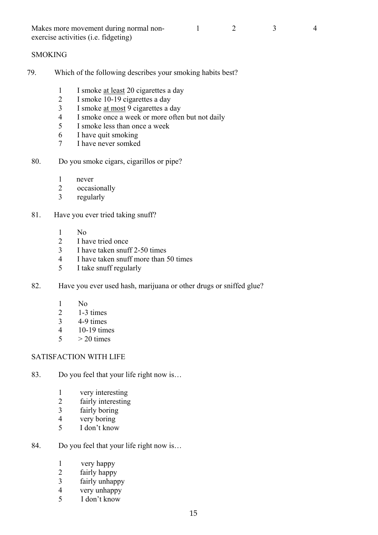| Makes more movement during normal non-        |  |  |
|-----------------------------------------------|--|--|
| exercise activities ( <i>i.e. fidgeting</i> ) |  |  |

### **SMOKING**

- 79. Which of the following describes your smoking habits best?
	- 1 I smoke <u>at least</u> 20 cigarettes a day
	- 2 I smoke 10-19 cigarettes a day
	- 3 I smoke at most 9 cigarettes a day
	- 4 I smoke once a week or more often but not daily
	- 5 I smoke less than once a week
	- 6 I have quit smoking
	- 7 I have never somked
	- 80. Do you smoke cigars, cigarillos or pipe?
		- 1 never
		- 2 occasionally
		- 3 regularly
	- 81. Have you ever tried taking snuff?
		- 1 No
		- 2 I have tried once
		- 3 I have taken snuff 2-50 times
		- 4 I have taken snuff more than 50 times
		- 5 I take snuff regularly
	- 82. Have you ever used hash, marijuana or other drugs or sniffed glue?
		- 1 No
		- $2 \qquad 1-3 \text{ times}$
		- 3 4-9 times
		- 4 10-19 times
		- $5 > 20$  times

#### SATISFACTION WITH LIFE

- 83. Do you feel that your life right now is...
	- 1 very interesting<br>2 fairly interesting
	- fairly interesting
	- 3 fairly boring
	- 4 very boring
	- 5 I don't know
- 84. Do you feel that your life right now is...
	- 1 very happy
	- 2 fairly happy
	- 3 fairly unhappy
	- 4 very unhappy
	- 5 I don't know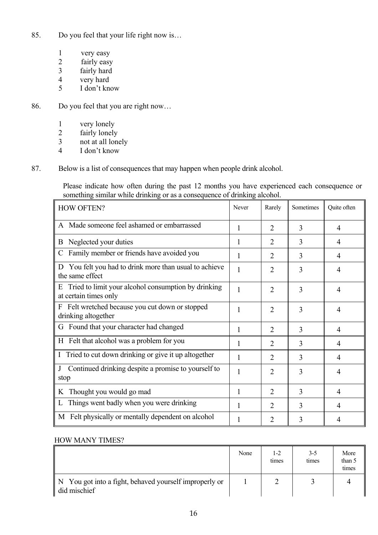- 85. Do you feel that your life right now is...
	- 1 very easy
	- 2 fairly easy
	- 3 fairly hard
	- 4 very hard
	- 5 I don't know
- 86. Do you feel that you are right now…
	- 1 very lonely
	- 2 fairly lonely
	- $\frac{3}{4}$  not at all lonely
	- I don't know
- 87. Below is a list of consequences that may happen when people drink alcohol.

Please indicate how often during the past 12 months you have experienced each consequence or something similar while drinking or as a consequence of drinking alcohol.

| <b>HOW OFTEN?</b>                                                                    | Never | Rarely         | Sometimes | Quite often |
|--------------------------------------------------------------------------------------|-------|----------------|-----------|-------------|
| A Made someone feel ashamed or embarrassed                                           | 1     | $\overline{2}$ | 3         | 4           |
| <b>B</b> Neglected your duties                                                       | 1     | 2              | 3         | 4           |
| Family member or friends have avoided you<br>C                                       | 1     | $\overline{2}$ | 3         | 4           |
| D You felt you had to drink more than usual to achieve<br>the same effect            | 1     | $\overline{2}$ | 3         | 4           |
| E Tried to limit your alcohol consumption by drinking<br>at certain times only       | 1     | 2              | 3         | 4           |
| Felt wretched because you cut down or stopped<br>$\mathbf{F}$<br>drinking altogether | 1     | $\overline{2}$ | 3         | 4           |
| G Found that your character had changed                                              | 1     | $\overline{2}$ | 3         | 4           |
| H Felt that alcohol was a problem for you                                            | 1     | 2              | 3         | 4           |
| I Tried to cut down drinking or give it up altogether                                | 1     | $\overline{2}$ | 3         | 4           |
| Continued drinking despite a promise to yourself to<br>$\bf{J}$<br>stop              | 1     | 2              | 3         | 4           |
| K Thought you would go mad                                                           | 1     | 2              | 3         | 4           |
| L Things went badly when you were drinking                                           | 1     | $\overline{2}$ | 3         | 4           |
| M Felt physically or mentally dependent on alcohol                                   | 1     | $\overline{2}$ | 3         | 4           |

### HOW MANY TIMES?

|                                                                          | None | 1-2<br>times | $3 - 5$<br>times | More<br>than 5<br>times |
|--------------------------------------------------------------------------|------|--------------|------------------|-------------------------|
| ∥ N You got into a fight, behaved yourself improperly or<br>did mischief |      |              |                  |                         |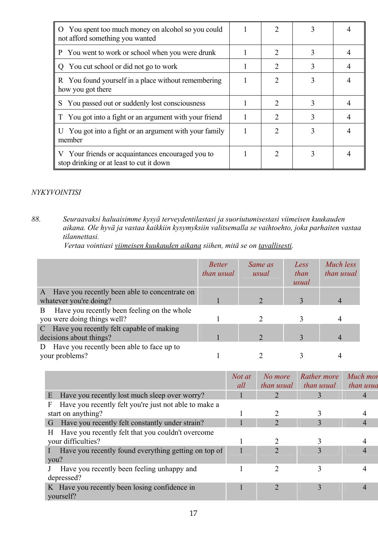| O You spent too much money on alcohol so you could<br>not afford something you wanted         |                             |   |  |
|-----------------------------------------------------------------------------------------------|-----------------------------|---|--|
| You went to work or school when you were drunk<br>P                                           | 2                           | 3 |  |
| Q You cut school or did not go to work                                                        |                             |   |  |
| R You found yourself in a place without remembering<br>how you got there                      | $\mathcal{D}_{\mathcal{L}}$ | 3 |  |
| You passed out or suddenly lost consciousness<br>S                                            |                             |   |  |
| T You got into a fight or an argument with your friend                                        |                             |   |  |
| U You got into a fight or an argument with your family<br>member                              | っ                           |   |  |
| V Your friends or acquaintances encouraged you to<br>stop drinking or at least to cut it down | 2                           |   |  |

# *NYKYVOINTISI*

*88. Seuraavaksi haluaisimme kysyä terveydentilastasi ja suoriutumisestasi viimeisen kuukauden aikana. Ole hyvä ja vastaa kaikkiin kysymyksiin valitsemalla se vaihtoehto, joka parhaiten vastaa tilannettasi.* 

*Vertaa vointiasi viimeisen kuukauden aikana siihen, mitä se on tavallisesti.* 

|                                                  | <b>Better</b><br>than usual | Same as<br>usual | Less<br>than<br>usual | Much less<br>than usual |
|--------------------------------------------------|-----------------------------|------------------|-----------------------|-------------------------|
| A Have you recently been able to concentrate on  |                             |                  |                       |                         |
| whatever you're doing?                           |                             |                  |                       |                         |
| Have you recently been feeling on the whole<br>B |                             |                  |                       |                         |
| you were doing things well?                      |                             |                  |                       |                         |
| C Have you recently felt capable of making       |                             |                  |                       |                         |
| decisions about things?                          |                             |                  |                       |                         |
| Have you recently been able to face up to<br>D   |                             |                  |                       |                         |
| your problems?                                   |                             |                  |                       |                         |

|                                                            | Not at<br>all | No more<br><i>than usual</i> | Rather more<br>than usual | Much mor<br>than usua |
|------------------------------------------------------------|---------------|------------------------------|---------------------------|-----------------------|
| Have you recently lost much sleep over worry?<br>E         |               |                              | 3                         |                       |
| Have you recently felt you're just not able to make a<br>F |               |                              |                           |                       |
| start on anything?                                         |               |                              |                           |                       |
| Have you recently felt constantly under strain?<br>G,      |               |                              | 3                         |                       |
| Have you recently felt that you couldn't overcome<br>H.    |               |                              |                           |                       |
| your difficulties?                                         |               |                              |                           |                       |
| Have you recently found everything getting on top of       |               |                              | 3                         |                       |
| you?                                                       |               |                              |                           |                       |
| Have you recently been feeling unhappy and                 |               | C                            |                           |                       |
| depressed?                                                 |               |                              |                           |                       |
| K Have you recently been losing confidence in<br>yourself? |               |                              |                           |                       |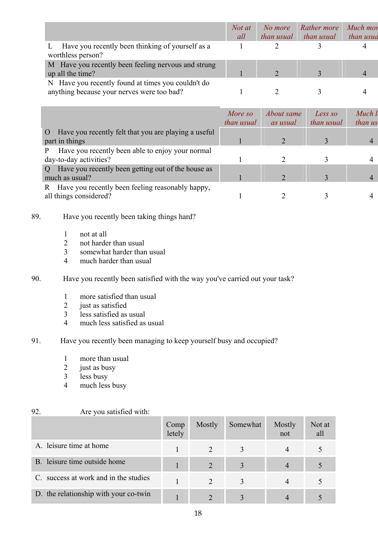|                                                                                                  | Not at<br>all | No more<br>than usual | Rather more<br>than usual | Much mor<br>than usua |
|--------------------------------------------------------------------------------------------------|---------------|-----------------------|---------------------------|-----------------------|
| Have you recently been thinking of yourself as a<br>worthless person?                            |               |                       |                           |                       |
| M Have you recently been feeling nervous and strung<br>up all the time?                          |               |                       |                           |                       |
| N Have you recently found at times you couldn't do<br>anything because your nerves were too bad? |               |                       |                           |                       |

|                                                                          | More so<br>than usual | <i>About same</i> | Less so<br>than usual | Much l<br>than us |
|--------------------------------------------------------------------------|-----------------------|-------------------|-----------------------|-------------------|
|                                                                          |                       | as usual          |                       |                   |
| O Have you recently felt that you are playing a useful<br>part in things |                       |                   |                       | $\overline{4}$    |
| Have you recently been able to enjoy your normal                         |                       |                   |                       |                   |
| day-to-day activities?                                                   |                       |                   |                       |                   |
| Q Have you recently been getting out of the house as                     |                       |                   |                       |                   |
| much as usual?                                                           |                       |                   |                       | 4                 |
| R Have you recently been feeling reasonably happy,                       |                       |                   |                       |                   |
| all things considered?                                                   |                       |                   |                       |                   |

## 89. Have you recently been taking things hard?

- 1 not at all
- 2 not harder than usual
- 3 somewhat harder than usual
- 4 much harder than usual

# 90. Have you recently been satisfied with the way you've carried out your task?

- 1 more satisfied than usual
- 2 just as satisfied
- 3 less satisfied as usual
- 4 much less satisfied as usual

# 91. Have you recently been managing to keep yourself busy and occupied?

- 1 more than usual<br>2 iust as busy
- just as busy
- 3 less busy
- 4 much less busy

### 92. Are you satisfied with:

|                                       | Comp<br>letely | Mostly                      | Somewhat | Mostly<br>not | Not at<br>all |
|---------------------------------------|----------------|-----------------------------|----------|---------------|---------------|
| A. leisure time at home               |                |                             |          |               |               |
| B. leisure time outside home          |                |                             | 3        | 4             |               |
| C. success at work and in the studies |                | $\mathcal{D}_{\mathcal{L}}$ |          |               |               |
| D. the relationship with your co-twin |                |                             |          |               |               |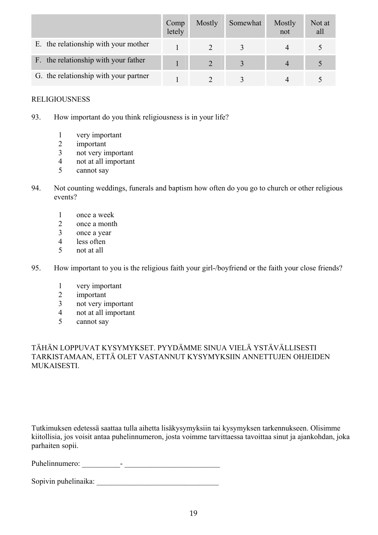|                                       | Comp<br>letely | Mostly | Somewhat | Mostly<br>not  | Not at<br>all |
|---------------------------------------|----------------|--------|----------|----------------|---------------|
| E. the relationship with your mother  |                |        |          |                |               |
| F. the relationship with your father  |                |        |          | $\overline{4}$ |               |
| G. the relationship with your partner |                |        |          |                |               |

### RELIGIOUSNESS

- 93. How important do you think religiousness is in your life?
	- 1 very important
	- 2 important
	- 3 not very important
	- 4 not at all important
	- 5 cannot say
- 94. Not counting weddings, funerals and baptism how often do you go to church or other religious events?
	- 1 once a week
	- 2 once a month
	- 3 once a year
	- 4 less often
	- 5 not at all
- 95. How important to you is the religious faith your girl-/boyfriend or the faith your close friends?
	- 1 very important
	- 2 important
	- 3 not very important
	- 4 not at all important
	- 5 cannot say

TÄHÄN LOPPUVAT KYSYMYKSET. PYYDÄMME SINUA VIELÄ YSTÄVÄLLISESTI TARKISTAMAAN, ETTÄ OLET VASTANNUT KYSYMYKSIIN ANNETTUJEN OHJEIDEN **MUKAISESTI** 

Tutkimuksen edetessä saattaa tulla aihetta lisäkysymyksiin tai kysymyksen tarkennukseen. Olisimme kiitollisia, jos voisit antaa puhelinnumeron, josta voimme tarvittaessa tavoittaa sinut ja ajankohdan, joka parhaiten sopii.

Puhelinnumero: \_\_\_\_\_\_\_\_\_\_- \_\_\_\_\_\_\_\_\_\_\_\_\_\_\_\_\_\_\_\_\_\_\_\_\_

Sopivin puhelinaika: \_\_\_\_\_\_\_\_\_\_\_\_\_\_\_\_\_\_\_\_\_\_\_\_\_\_\_\_\_\_\_\_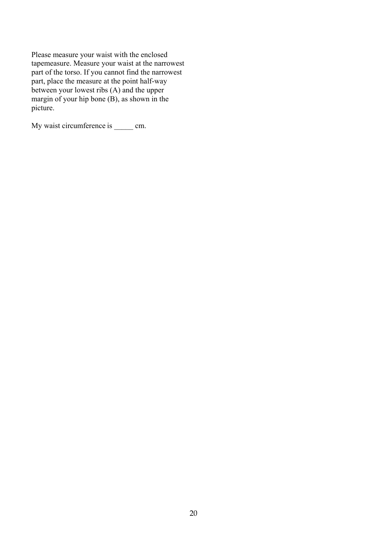Please measure your waist with the enclosed tapemeasure. Measure your waist at the narrowest part of the torso. If you cannot find the narrowest part, place the measure at the point half-way between your lowest ribs (A) and the upper margin of your hip bone (B), as shown in the picture.

My waist circumference is \_\_\_\_\_ cm.